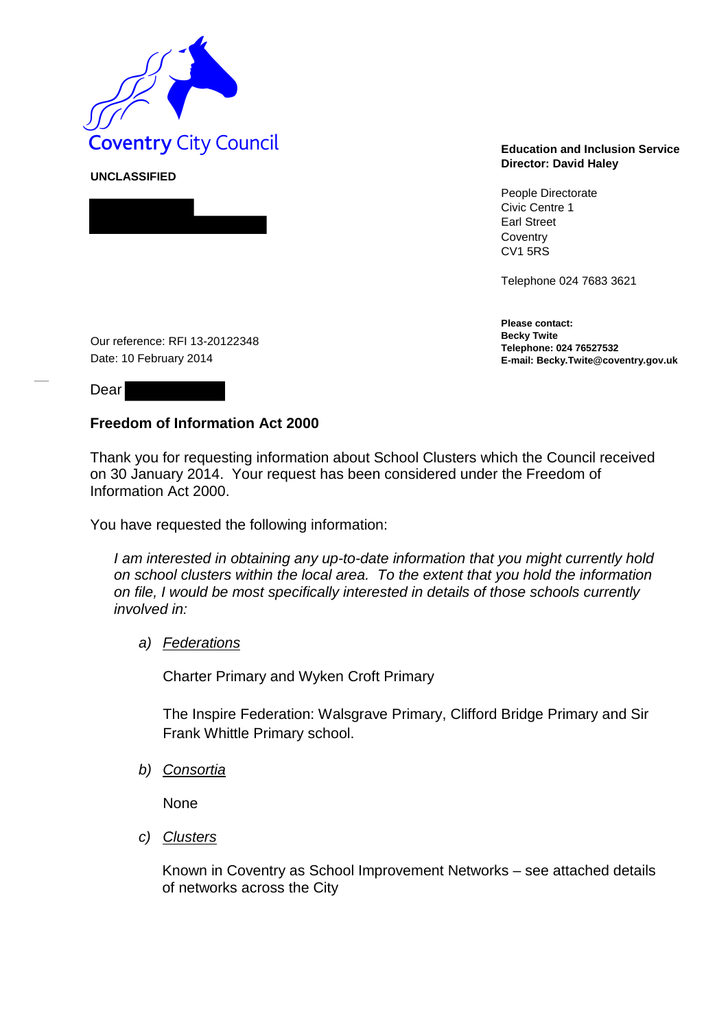

**UNCLASSIFIED** 

## **Director: David Haley**

People Directorate Civic Centre 1 Earl Street **Coventry** CV1 5RS

Telephone 024 7683 3621

**Please contact: Becky Twite Telephone: 024 76527532 E-mail: Becky.Twite@coventry.gov.uk** 

Our reference: RFI 13-20122348 Date: 10 February 2014

Dear

## **Freedom of Information Act 2000**

Thank you for requesting information about School Clusters which the Council received on 30 January 2014. Your request has been considered under the Freedom of Information Act 2000.

You have requested the following information:

*I am interested in obtaining any up-to-date information that you might currently hold on school clusters within the local area. To the extent that you hold the information on file, I would be most specifically interested in details of those schools currently involved in:*

## *a) Federations*

Charter Primary and Wyken Croft Primary

The Inspire Federation: Walsgrave Primary, Clifford Bridge Primary and Sir Frank Whittle Primary school.

*b) Consortia*

**None** 

*c) Clusters*

Known in Coventry as School Improvement Networks – see attached details of networks across the City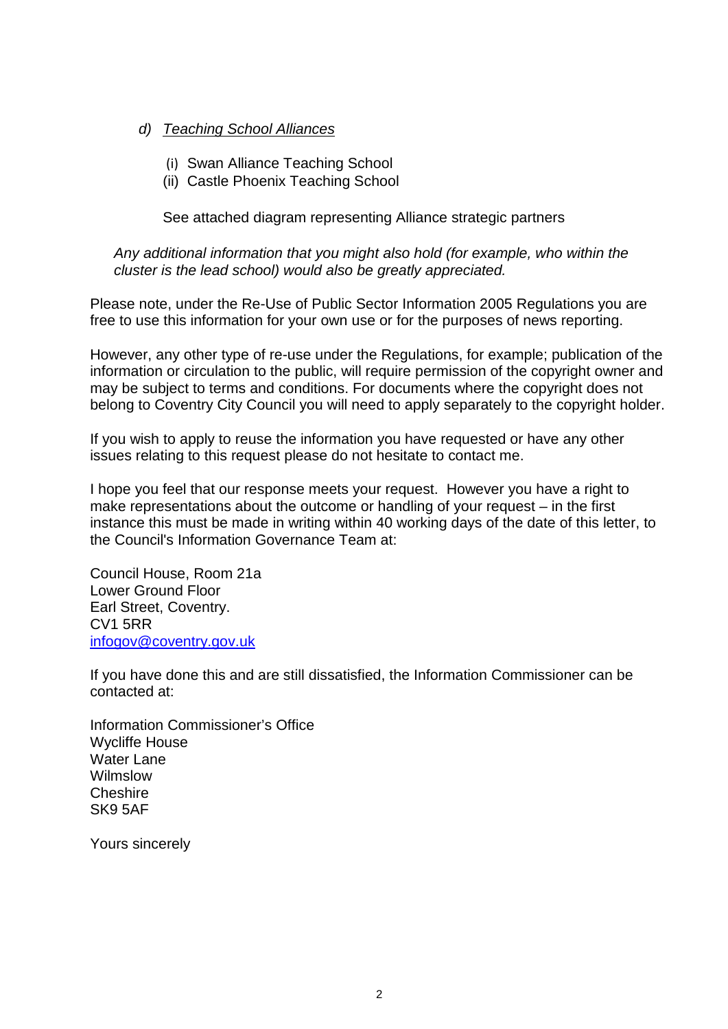- *d) Teaching School Alliances*
	- (i) Swan Alliance Teaching School
	- (ii) Castle Phoenix Teaching School

See attached diagram representing Alliance strategic partners

*Any additional information that you might also hold (for example, who within the cluster is the lead school) would also be greatly appreciated.*

Please note, under the Re-Use of Public Sector Information 2005 Regulations you are free to use this information for your own use or for the purposes of news reporting.

However, any other type of re-use under the Regulations, for example; publication of the information or circulation to the public, will require permission of the copyright owner and may be subject to terms and conditions. For documents where the copyright does not belong to Coventry City Council you will need to apply separately to the copyright holder.

If you wish to apply to reuse the information you have requested or have any other issues relating to this request please do not hesitate to contact me.

I hope you feel that our response meets your request. However you have a right to make representations about the outcome or handling of your request – in the first instance this must be made in writing within 40 working days of the date of this letter, to the Council's Information Governance Team at:

Council House, Room 21a Lower Ground Floor Earl Street, Coventry. CV1 5RR infogov@coventry.gov.uk

If you have done this and are still dissatisfied, the Information Commissioner can be contacted at:

Information Commissioner's Office Wycliffe House Water Lane Wilmslow **Cheshire** SK9 5AF

Yours sincerely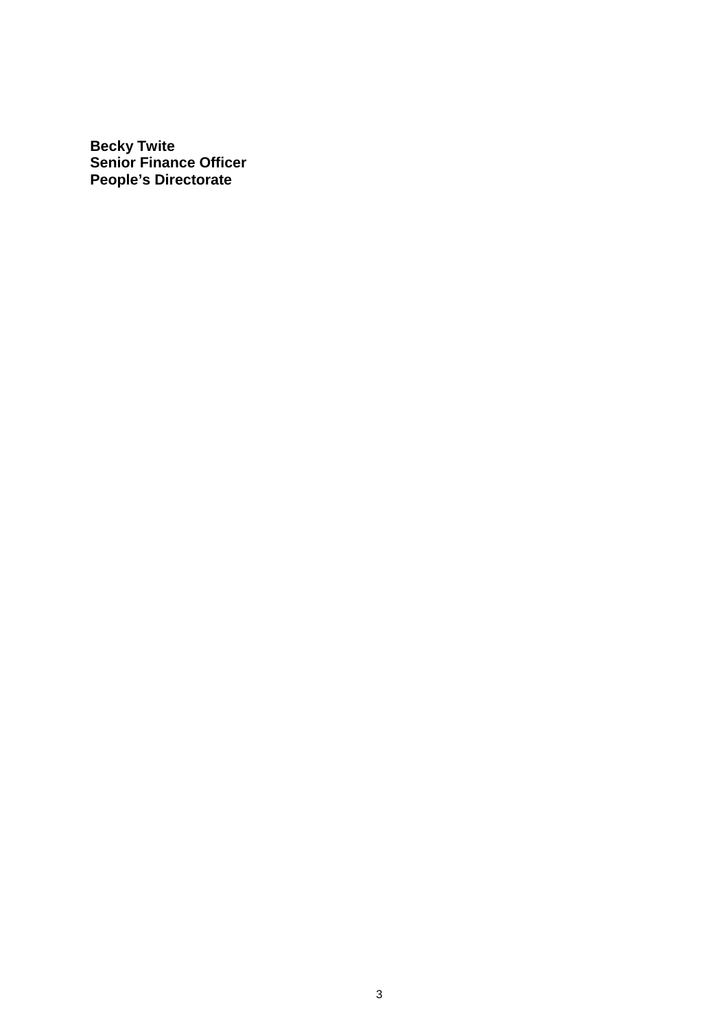**Becky Twite Senior Finance Officer People's Directorate**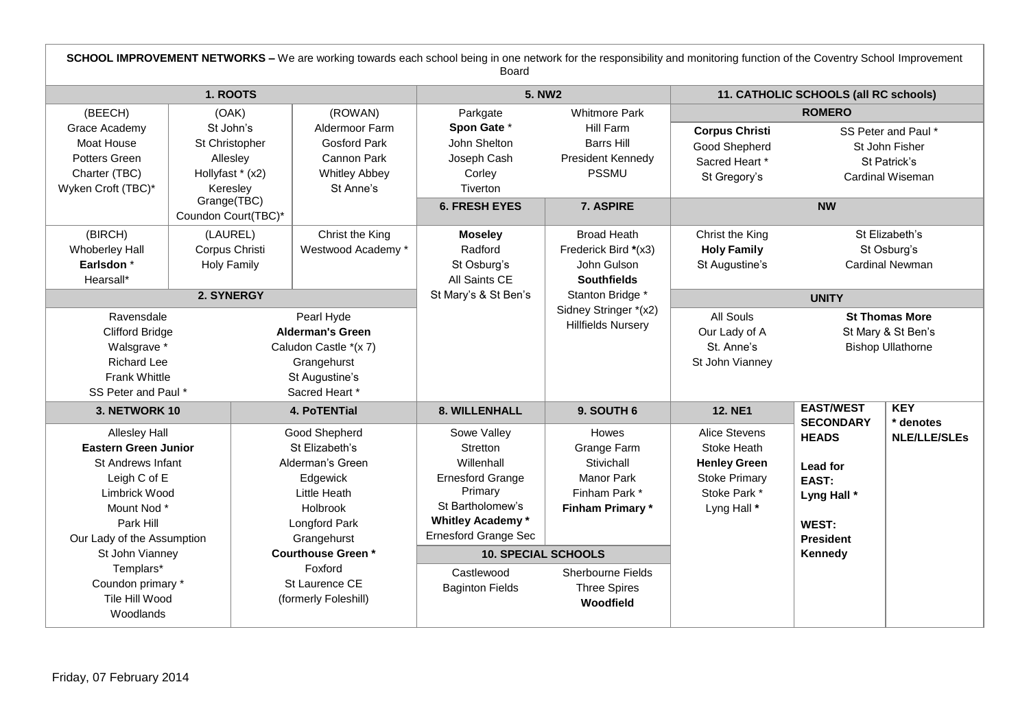| SCHOOL IMPROVEMENT NETWORKS - We are working towards each school being in one network for the responsibility and monitoring function of the Coventry School Improvement<br>Board                                                                               |                                                                                                               |                                                                                                                                                                                                                     |                                                                                                                                                                                                                                 |                                                                                                                                                      |                                                                                                            |                                                                                                              |                                                                           |  |
|----------------------------------------------------------------------------------------------------------------------------------------------------------------------------------------------------------------------------------------------------------------|---------------------------------------------------------------------------------------------------------------|---------------------------------------------------------------------------------------------------------------------------------------------------------------------------------------------------------------------|---------------------------------------------------------------------------------------------------------------------------------------------------------------------------------------------------------------------------------|------------------------------------------------------------------------------------------------------------------------------------------------------|------------------------------------------------------------------------------------------------------------|--------------------------------------------------------------------------------------------------------------|---------------------------------------------------------------------------|--|
| 1. ROOTS                                                                                                                                                                                                                                                       |                                                                                                               |                                                                                                                                                                                                                     | <b>5. NW2</b>                                                                                                                                                                                                                   |                                                                                                                                                      | 11. CATHOLIC SCHOOLS (all RC schools)                                                                      |                                                                                                              |                                                                           |  |
| (BEECH)                                                                                                                                                                                                                                                        | (OAK)                                                                                                         | (ROWAN)                                                                                                                                                                                                             | Parkgate<br><b>Whitmore Park</b>                                                                                                                                                                                                |                                                                                                                                                      | <b>ROMERO</b>                                                                                              |                                                                                                              |                                                                           |  |
| Grace Academy<br>Moat House<br>Potters Green<br>Charter (TBC)<br>Wyken Croft (TBC)*                                                                                                                                                                            | St John's<br>St Christopher<br>Allesley<br>Hollyfast * (x2)<br>Keresley<br>Grange(TBC)<br>Coundon Court(TBC)* |                                                                                                                                                                                                                     | Spon Gate *<br>John Shelton<br>Joseph Cash<br>Corley<br>Tiverton                                                                                                                                                                | Hill Farm<br><b>Barrs Hill</b><br>President Kennedy<br><b>PSSMU</b>                                                                                  | <b>Corpus Christi</b><br>Good Shepherd<br>Sacred Heart *<br>St Gregory's                                   |                                                                                                              | SS Peter and Paul *<br>St John Fisher<br>St Patrick's<br>Cardinal Wiseman |  |
|                                                                                                                                                                                                                                                                |                                                                                                               |                                                                                                                                                                                                                     | <b>6. FRESH EYES</b>                                                                                                                                                                                                            | 7. ASPIRE                                                                                                                                            | <b>NW</b>                                                                                                  |                                                                                                              |                                                                           |  |
| (BIRCH)<br><b>Whoberley Hall</b><br>Earlsdon <sup>*</sup><br>Hearsall*                                                                                                                                                                                         | (LAUREL)<br>Corpus Christi<br><b>Holy Family</b>                                                              | Christ the King<br>Westwood Academy *                                                                                                                                                                               | <b>Moseley</b><br>Radford<br>St Osburg's<br>All Saints CE                                                                                                                                                                       | <b>Broad Heath</b><br>Frederick Bird *(x3)<br>John Gulson<br><b>Southfields</b>                                                                      | Christ the King<br><b>Holy Family</b><br>St Augustine's                                                    | St Elizabeth's<br>St Osburg's<br><b>Cardinal Newman</b>                                                      |                                                                           |  |
| 2. SYNERGY                                                                                                                                                                                                                                                     |                                                                                                               |                                                                                                                                                                                                                     | St Mary's & St Ben's                                                                                                                                                                                                            | Stanton Bridge *                                                                                                                                     | <b>UNITY</b>                                                                                               |                                                                                                              |                                                                           |  |
| Ravensdale<br><b>Clifford Bridge</b><br>Walsgrave *<br><b>Richard Lee</b><br><b>Frank Whittle</b><br>SS Peter and Paul *                                                                                                                                       |                                                                                                               | Pearl Hyde<br><b>Alderman's Green</b><br>Caludon Castle *(x 7)<br>Grangehurst<br>St Augustine's<br>Sacred Heart *                                                                                                   |                                                                                                                                                                                                                                 | Sidney Stringer *(x2)<br><b>Hillfields Nursery</b>                                                                                                   | All Souls<br>Our Lady of A<br>St. Anne's<br>St John Vianney                                                | <b>St Thomas More</b><br>St Mary & St Ben's<br><b>Bishop Ullathorne</b>                                      |                                                                           |  |
| 3. NETWORK 10                                                                                                                                                                                                                                                  |                                                                                                               | <b>4. PoTENTial</b>                                                                                                                                                                                                 | 8. WILLENHALL                                                                                                                                                                                                                   | 9. SOUTH 6                                                                                                                                           | <b>12. NE1</b>                                                                                             | <b>EAST/WEST</b>                                                                                             | <b>KEY</b>                                                                |  |
| <b>Allesley Hall</b><br><b>Eastern Green Junior</b><br><b>St Andrews Infant</b><br>Leigh C of E<br>Limbrick Wood<br>Mount Nod *<br>Park Hill<br>Our Lady of the Assumption<br>St John Vianney<br>Templars*<br>Coundon primary *<br>Tile Hill Wood<br>Woodlands |                                                                                                               | Good Shepherd<br>St Elizabeth's<br>Alderman's Green<br>Edgewick<br>Little Heath<br><b>Holbrook</b><br>Longford Park<br>Grangehurst<br><b>Courthouse Green*</b><br>Foxford<br>St Laurence CE<br>(formerly Foleshill) | Sowe Valley<br>Stretton<br>Willenhall<br><b>Ernesford Grange</b><br>Primary<br>St Bartholomew's<br><b>Whitley Academy*</b><br><b>Ernesford Grange Sec</b><br><b>10. SPECIAL SCHOOLS</b><br>Castlewood<br><b>Baginton Fields</b> | Howes<br>Grange Farm<br>Stivichall<br><b>Manor Park</b><br>Finham Park *<br>Finham Primary*<br>Sherbourne Fields<br><b>Three Spires</b><br>Woodfield | Alice Stevens<br>Stoke Heath<br><b>Henley Green</b><br><b>Stoke Primary</b><br>Stoke Park *<br>Lyng Hall * | <b>SECONDARY</b><br><b>HEADS</b><br>Lead for<br>EAST:<br>Lyng Hall *<br>WEST:<br><b>President</b><br>Kennedy | * denotes<br><b>NLE/LLE/SLEs</b>                                          |  |